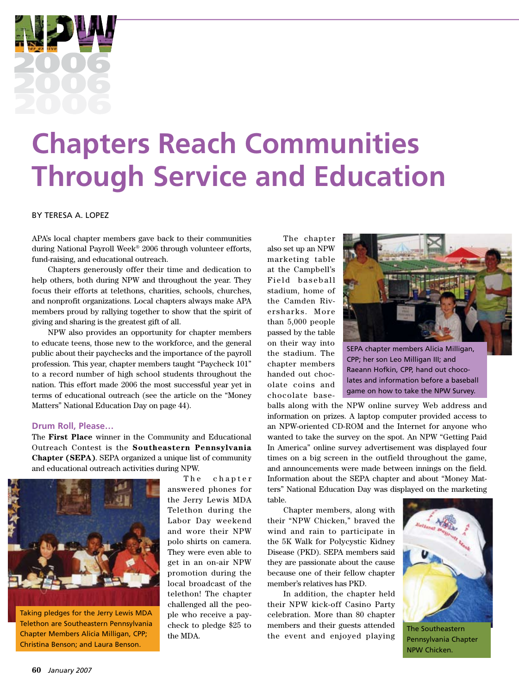

# **Chapters Reach Communities Through Service and Education**

#### By Teresa A. Lopez

APA's local chapter members gave back to their communities during National Payroll Week® 2006 through volunteer efforts, fund-raising, and educational outreach.

Chapters generously offer their time and dedication to help others, both during NPW and throughout the year. They focus their efforts at telethons, charities, schools, churches, and nonprofit organizations. Local chapters always make APA members proud by rallying together to show that the spirit of giving and sharing is the greatest gift of all.

NPW also provides an opportunity for chapter members to educate teens, those new to the workforce, and the general public about their paychecks and the importance of the payroll profession. This year, chapter members taught "Paycheck 101" to a record number of high school students throughout the nation. This effort made 2006 the most successful year yet in terms of educational outreach (see the article on the "Money Matters" National Education Day on page 44).

### **Drum Roll, Please…**

The **First Place** winner in the Community and Educational Outreach Contest is the **Southeastern Pennsylvania Chapter (SEPA)**. SEPA organized a unique list of community and educational outreach activities during NPW.



Taking pledges for the Jerry Lewis MDA Telethon are Southeastern Pennsylvania Chapter Members Alicia Milligan, CPP; Christina Benson; and Laura Benson.

The chapter answered phones for the Jerry Lewis MDA Telethon during the Labor Day weekend and wore their NPW polo shirts on camera. They were even able to get in an on-air NPW promotion during the local broadcast of the telethon! The chapter challenged all the people who receive a paycheck to pledge \$25 to the MDA.

The chapter also set up an NPW marketing table at the Campbell's Field baseball stadium, home of the Camden Riversharks. More than 5,000 people passed by the table on their way into the stadium. The chapter members handed out chocolate coins and chocolate base-



SEPA chapter members Alicia Milligan, CPP; her son Leo Milligan III; and Raeann Hofkin, CPP, hand out chocolates and information before a baseball game on how to take the NPW Survey.

balls along with the NPW online survey Web address and information on prizes. A laptop computer provided access to an NPW-oriented CD-ROM and the Internet for anyone who wanted to take the survey on the spot. An NPW "Getting Paid In America" online survey advertisement was displayed four times on a big screen in the outfield throughout the game, and announcements were made between innings on the field. Information about the SEPA chapter and about "Money Matters" National Education Day was displayed on the marketing table.

Chapter members, along with their "NPW Chicken," braved the wind and rain to participate in the 5K Walk for Polycystic Kidney Disease (PKD). SEPA members said they are passionate about the cause because one of their fellow chapter member's relatives has PKD.

In addition, the chapter held their NPW kick-off Casino Party celebration. More than 80 chapter members and their guests attended the event and enjoyed playing



The Southeastern Pennsylvania Chapter NPW Chicken.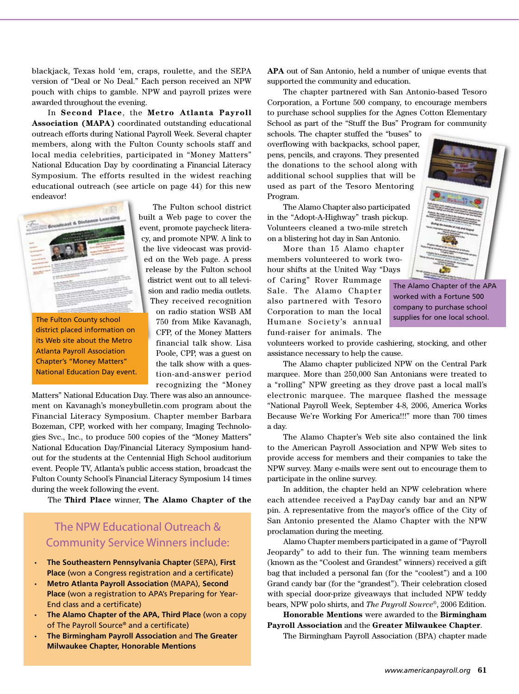blackjack, Texas hold 'em, craps, roulette, and the SEPA version of "Deal or No Deal." Each person received an NPW pouch with chips to gamble. NPW and payroll prizes were awarded throughout the evening.

In **Second Place**, the **Metro Atlanta Payroll Association (MAPA)** coordinated outstanding educational outreach efforts during National Payroll Week. Several chapter members, along with the Fulton County schools staff and local media celebrities, participated in "Money Matters" National Education Day by coordinating a Financial Literacy Symposium. The efforts resulted in the widest reaching educational outreach (see article on page 44) for this new endeavor!



The Fulton County school district placed information on its Web site about the Metro Atlanta Payroll Association Chapter's "Money Matters" National Education Day event.

The Fulton school district built a Web page to cover the event, promote paycheck literacy, and promote NPW. A link to the live videocast was provided on the Web page. A press release by the Fulton school district went out to all television and radio media outlets. They received recognition on radio station WSB AM 750 from Mike Kavanagh, CFP, of the Money Matters financial talk show. Lisa Poole, CPP, was a guest on the talk show with a ques-

tion-and-answer period

recognizing the "Money Matters" National Education Day. There was also an announcement on Kavanagh's moneybulletin.com program about the Financial Literacy Symposium. Chapter member Barbara Bozeman, CPP, worked with her company, Imaging Technologies Svc., Inc., to produce 500 copies of the "Money Matters" National Education Day/Financial Literacy Symposium handout for the students at the Centennial High School auditorium event. People TV, Atlanta's public access station, broadcast the Fulton County School's Financial Literacy Symposium 14 times during the week following the event.

The **Third Place** winner, **The Alamo Chapter of the** 

## The NPW Educational Outreach & Community Service Winners include:

- **The Southeastern Pennsylvania Chapter** (SEPA), **First Place** (won a Congress registration and a certificate)
- **Metro Atlanta Payroll Association** (MAPA), **Second Place** (won a registration to APA's Preparing for Year-End class and a certificate)
- **The Alamo Chapter of the APA, Third Place** (won a copy of The Payroll Source® and a certificate)
- **The Birmingham Payroll Association** and **The Greater Milwaukee Chapter, Honorable Mentions**

**APA** out of San Antonio, held a number of unique events that supported the community and education.

The chapter partnered with San Antonio-based Tesoro Corporation, a Fortune 500 company, to encourage members to purchase school supplies for the Agnes Cotton Elementary School as part of the "Stuff the Bus" Program for community

schools. The chapter stuffed the "buses" to overflowing with backpacks, school paper, pens, pencils, and crayons. They presented the donations to the school along with additional school supplies that will be used as part of the Tesoro Mentoring Program.

The Alamo Chapter also participated in the "Adopt-A-Highway" trash pickup. Volunteers cleaned a two-mile stretch on a blistering hot day in San Antonio.

More than 15 Alamo chapter members volunteered to work twohour shifts at the United Way "Days of Caring" Rover Rummage Sale. The Alamo Chapter also partnered with Tesoro Corporation to man the local Humane Society's annual fund-raiser for animals. The



The Alamo Chapter of the APA worked with a Fortune 500 company to purchase school supplies for one local school.

volunteers worked to provide cashiering, stocking, and other assistance necessary to help the cause.

The Alamo chapter publicized NPW on the Central Park marquee. More than 250,000 San Antonians were treated to a "rolling" NPW greeting as they drove past a local mall's electronic marquee. The marquee flashed the message "National Payroll Week, September 4-8, 2006, America Works Because We're Working For America!!!" more than 700 times a day.

The Alamo Chapter's Web site also contained the link to the American Payroll Association and NPW Web sites to provide access for members and their companies to take the NPW survey. Many e-mails were sent out to encourage them to participate in the online survey.

In addition, the chapter held an NPW celebration where each attendee received a PayDay candy bar and an NPW pin. A representative from the mayor's office of the City of San Antonio presented the Alamo Chapter with the NPW proclamation during the meeting.

Alamo Chapter members participated in a game of "Payroll Jeopardy" to add to their fun. The winning team members (known as the "Coolest and Grandest" winners) received a gift bag that included a personal fan (for the "coolest") and a 100 Grand candy bar (for the "grandest"). Their celebration closed with special door-prize giveaways that included NPW teddy bears, NPW polo shirts, and *The Payroll Source*®, 2006 Edition.

**Honorable Mentions** were awarded to the **Birmingham Payroll Association** and the **Greater Milwaukee Chapter**.

The Birmingham Payroll Association (BPA) chapter made